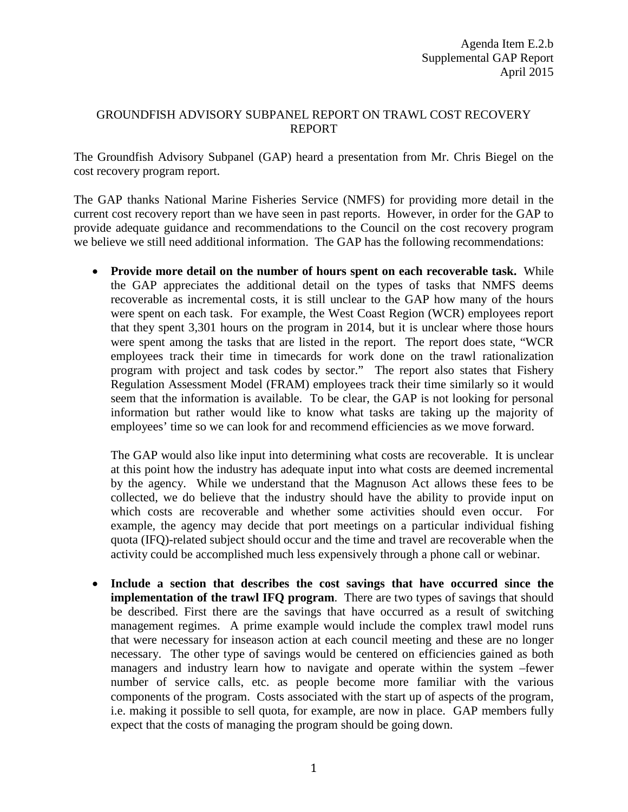## GROUNDFISH ADVISORY SUBPANEL REPORT ON TRAWL COST RECOVERY REPORT

The Groundfish Advisory Subpanel (GAP) heard a presentation from Mr. Chris Biegel on the cost recovery program report.

The GAP thanks National Marine Fisheries Service (NMFS) for providing more detail in the current cost recovery report than we have seen in past reports. However, in order for the GAP to provide adequate guidance and recommendations to the Council on the cost recovery program we believe we still need additional information. The GAP has the following recommendations:

• **Provide more detail on the number of hours spent on each recoverable task.** While the GAP appreciates the additional detail on the types of tasks that NMFS deems recoverable as incremental costs, it is still unclear to the GAP how many of the hours were spent on each task. For example, the West Coast Region (WCR) employees report that they spent 3,301 hours on the program in 2014, but it is unclear where those hours were spent among the tasks that are listed in the report. The report does state, "WCR employees track their time in timecards for work done on the trawl rationalization program with project and task codes by sector." The report also states that Fishery Regulation Assessment Model (FRAM) employees track their time similarly so it would seem that the information is available. To be clear, the GAP is not looking for personal information but rather would like to know what tasks are taking up the majority of employees' time so we can look for and recommend efficiencies as we move forward.

The GAP would also like input into determining what costs are recoverable. It is unclear at this point how the industry has adequate input into what costs are deemed incremental by the agency. While we understand that the Magnuson Act allows these fees to be collected, we do believe that the industry should have the ability to provide input on which costs are recoverable and whether some activities should even occur. For example, the agency may decide that port meetings on a particular individual fishing quota (IFQ)-related subject should occur and the time and travel are recoverable when the activity could be accomplished much less expensively through a phone call or webinar.

• **Include a section that describes the cost savings that have occurred since the implementation of the trawl IFQ program**. There are two types of savings that should be described. First there are the savings that have occurred as a result of switching management regimes. A prime example would include the complex trawl model runs that were necessary for inseason action at each council meeting and these are no longer necessary. The other type of savings would be centered on efficiencies gained as both managers and industry learn how to navigate and operate within the system –fewer number of service calls, etc. as people become more familiar with the various components of the program. Costs associated with the start up of aspects of the program, i.e. making it possible to sell quota, for example, are now in place. GAP members fully expect that the costs of managing the program should be going down.